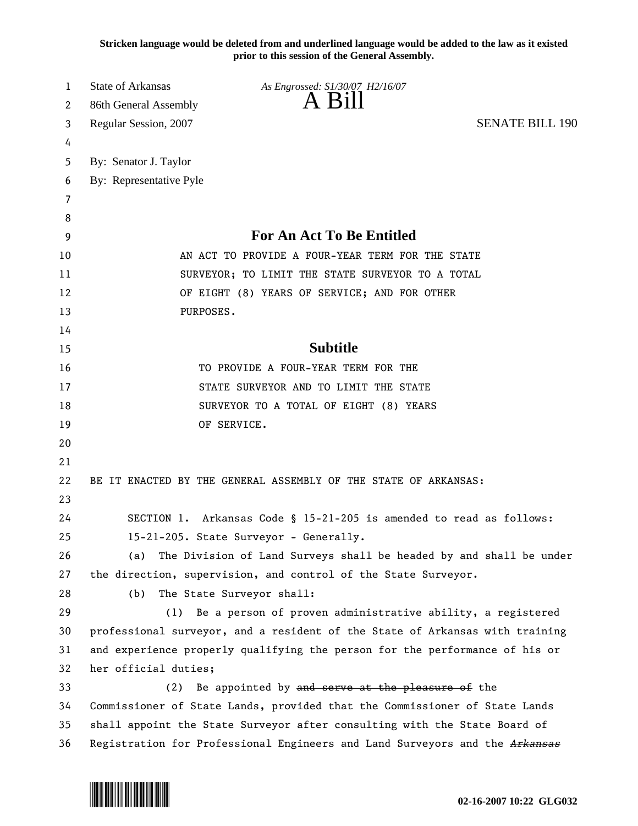**Stricken language would be deleted from and underlined language would be added to the law as it existed prior to this session of the General Assembly.**

| 1  | <b>State of Arkansas</b><br>As Engrossed: S1/30/07 H2/16/07                  |  |
|----|------------------------------------------------------------------------------|--|
| 2  | $A$ Bill<br>86th General Assembly                                            |  |
| 3  | <b>SENATE BILL 190</b><br>Regular Session, 2007                              |  |
| 4  |                                                                              |  |
| 5  | By: Senator J. Taylor                                                        |  |
| 6  | By: Representative Pyle                                                      |  |
| 7  |                                                                              |  |
| 8  |                                                                              |  |
| 9  | For An Act To Be Entitled                                                    |  |
| 10 | AN ACT TO PROVIDE A FOUR-YEAR TERM FOR THE STATE                             |  |
| 11 | SURVEYOR; TO LIMIT THE STATE SURVEYOR TO A TOTAL                             |  |
| 12 | OF EIGHT (8) YEARS OF SERVICE; AND FOR OTHER                                 |  |
| 13 | PURPOSES.                                                                    |  |
| 14 |                                                                              |  |
| 15 | <b>Subtitle</b>                                                              |  |
| 16 | TO PROVIDE A FOUR-YEAR TERM FOR THE                                          |  |
| 17 | STATE SURVEYOR AND TO LIMIT THE STATE                                        |  |
| 18 | SURVEYOR TO A TOTAL OF EIGHT (8) YEARS                                       |  |
| 19 | OF SERVICE.                                                                  |  |
| 20 |                                                                              |  |
| 21 |                                                                              |  |
| 22 | BE IT ENACTED BY THE GENERAL ASSEMBLY OF THE STATE OF ARKANSAS:              |  |
| 23 |                                                                              |  |
| 24 | SECTION 1. Arkansas Code § 15-21-205 is amended to read as follows:          |  |
| 25 | 15-21-205. State Surveyor - Generally.                                       |  |
| 26 | The Division of Land Surveys shall be headed by and shall be under<br>(a)    |  |
| 27 | the direction, supervision, and control of the State Surveyor.               |  |
| 28 | The State Surveyor shall:<br>(b)                                             |  |
| 29 | (1) Be a person of proven administrative ability, a registered               |  |
| 30 | professional surveyor, and a resident of the State of Arkansas with training |  |
| 31 | and experience properly qualifying the person for the performance of his or  |  |
| 32 | her official duties;                                                         |  |
| 33 | Be appointed by and serve at the pleasure of the<br>(2)                      |  |
| 34 | Commissioner of State Lands, provided that the Commissioner of State Lands   |  |
| 35 | shall appoint the State Surveyor after consulting with the State Board of    |  |
| 36 | Registration for Professional Engineers and Land Surveyors and the Arkansas  |  |